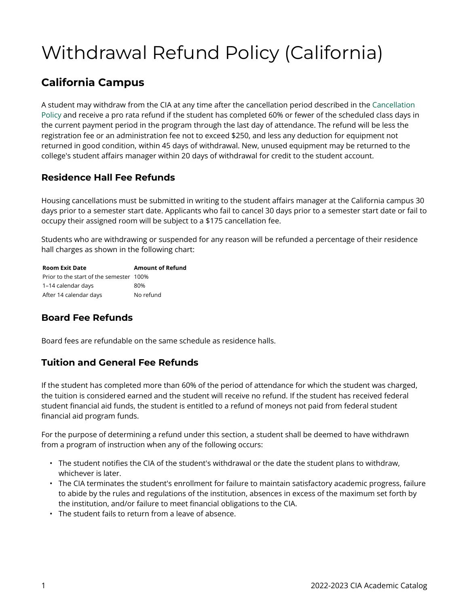# Withdrawal Refund Policy (California)

## **California Campus**

A student may withdraw from the CIA at any time after the cancellation period described in the [Cancellation](https://live-cia-catalog22.cleancatalog.io/node/729) [Policy](https://live-cia-catalog22.cleancatalog.io/node/729) and receive a pro rata refund if the student has completed 60% or fewer of the scheduled class days in the current payment period in the program through the last day of attendance. The refund will be less the registration fee or an administration fee not to exceed \$250, and less any deduction for equipment not returned in good condition, within 45 days of withdrawal. New, unused equipment may be returned to the college's student affairs manager within 20 days of withdrawal for credit to the student account.

#### **Residence Hall Fee Refunds**

Housing cancellations must be submitted in writing to the student affairs manager at the California campus 30 days prior to a semester start date. Applicants who fail to cancel 30 days prior to a semester start date or fail to occupy their assigned room will be subject to a \$175 cancellation fee.

Students who are withdrawing or suspended for any reason will be refunded a percentage of their residence hall charges as shown in the following chart:

| <b>Room Exit Date</b>                   | <b>Amount of Refund</b> |
|-----------------------------------------|-------------------------|
| Prior to the start of the semester 100% |                         |
| 1-14 calendar days                      | 80%                     |
| After 14 calendar days                  | No refund               |

### **Board Fee Refunds**

Board fees are refundable on the same schedule as residence halls.

#### **Tuition and General Fee Refunds**

If the student has completed more than 60% of the period of attendance for which the student was charged, the tuition is considered earned and the student will receive no refund. If the student has received federal student financial aid funds, the student is entitled to a refund of moneys not paid from federal student financial aid program funds.

For the purpose of determining a refund under this section, a student shall be deemed to have withdrawn from a program of instruction when any of the following occurs:

- The student notifies the CIA of the student's withdrawal or the date the student plans to withdraw, whichever is later.
- The CIA terminates the student's enrollment for failure to maintain satisfactory academic progress, failure to abide by the rules and regulations of the institution, absences in excess of the maximum set forth by the institution, and/or failure to meet financial obligations to the CIA.
- The student fails to return from a leave of absence.